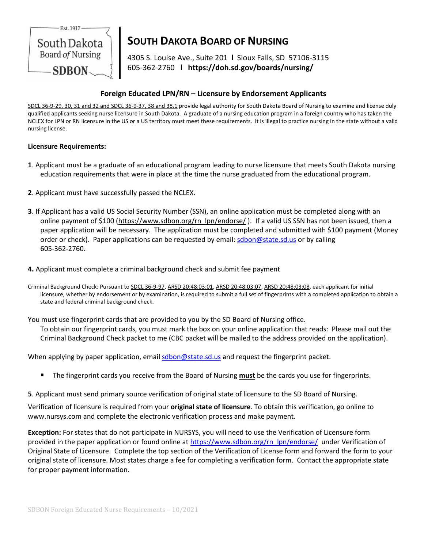

# **SOUTH DAKOTA BOARD OF NURSING**

4305 S. Louise Ave., Suite 201 **l** Sioux Falls, SD 57106-3115 605-362-2760 **l https://doh.sd.gov/boards/nursing/**

## **Foreign Educated LPN/RN – Licensure by Endorsement Applicants**

SDCL 36-9-29, 30, 31 and 32 and SDCL 36-9-37, 38 and 38.1 provide legal authority for South Dakota Board of Nursing to examine and license duly qualified applicants seeking nurse licensure in South Dakota. A graduate of a nursing education program in a foreign country who has taken the NCLEX for LPN or RN licensure in the US or a US territory must meet these requirements. It is illegal to practice nursing in the state without a valid nursing license.

### **Licensure Requirements:**

- **1**. Applicant must be a graduate of an educational program leading to nurse licensure that meets South Dakota nursing education requirements that were in place at the time the nurse graduated from the educational program.
- **2**. Applicant must have successfully passed the NCLEX.
- **3**. If Applicant has a valid US Social Security Number (SSN), an online application must be completed along with an online payment of \$100 (https://www.sdbon.org/rn\_lpn/endorse/ ). If a valid US SSN has not been issued, then a paper application will be necessary. The application must be completed and submitted with \$100 payment (Money order or check). Paper applications can be requested by email[: sdbon@state.sd.us](mailto:sdbon@state.sd.us) or by calling 605-362-2760.
- **4.** Applicant must complete a criminal background check and submit fee payment
- Criminal Background Check: Pursuant to SDCL 36-9-97, ARSD 20:48:03:01, ARSD 20:48:03:07, ARSD 20:48:03:08, each applicant for initial licensure, whether by endorsement or by examination, is required to submit a full set of fingerprints with a completed application to obtain a state and federal criminal background check.

You must use fingerprint cards that are provided to you by the SD Board of Nursing office. To obtain our fingerprint cards, you must mark the box on your online application that reads: Please mail out the Criminal Background Check packet to me (CBC packet will be mailed to the address provided on the application).

When applying by paper application, emai[l sdbon@state.sd.us](mailto:jill.vanderbush@state.sd.us) and request the fingerprint packet.

- The fingerprint cards you receive from the Board of Nursing **must** be the cards you use for fingerprints.
- **5**. Applicant must send primary source verification of original state of licensure to the SD Board of Nursing.

Verification of licensure is required from your **original state of licensure**. To obtain this verification, go online to [www.nursys.com](http://www.nursys.com/) and complete the electronic verification process and make payment.

**Exception:** For states that do not participate in NURSYS, you will need to use th[e Verification of Licensure form](https://www.sdbon.org/userfiles/verifyLicense.pdf) provided in the paper application or found online a[t https://www.sdbon.org/rn\\_lpn/endorse/](https://www.sdbon.org/rn_lpn/endorse/) under Verification of Original State of Licensure. Complete the top section of the Verification of License form and forward the form to your original state of licensure. Most states charge a fee for completing a verification form. Contact the appropriate state for proper payment information.